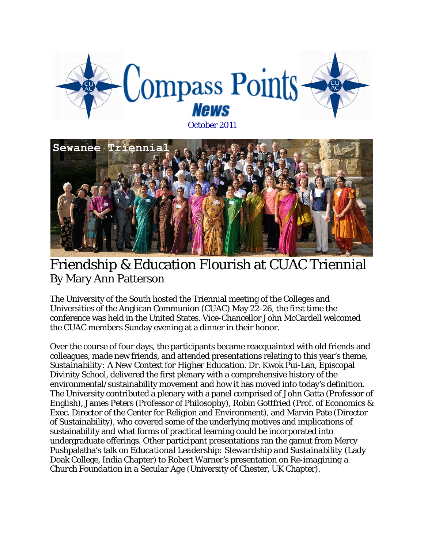



### Friendship & Education Flourish at CUAC Triennial By Mary Ann Patterson

The University of the South hosted the Triennial meeting of the Colleges and Universities of the Anglican Communion (CUAC) May 22-26, the first time the conference was held in the United States. Vice-Chancellor John McCardell welcomed the CUAC members Sunday evening at a dinner in their honor.

Over the course of four days, the participants became reacquainted with old friends and colleagues, made new friends, and attended presentations relating to this year's theme, *Sustainability: A New Context for Higher Education*. Dr. Kwok Pui-Lan, Episcopal Divinity School, delivered the first plenary with a comprehensive history of the environmental/sustainability movement and how it has moved into today's definition. The University contributed a plenary with a panel comprised of John Gatta (Professor of English), James Peters (Professor of Philosophy), Robin Gottfried (Prof. of Economics & Exec. Director of the Center for Religion and Environment), and Marvin Pate (Director of Sustainability), who covered some of the underlying motives and implications of sustainability and what forms of practical learning could be incorporated into undergraduate offerings. Other participant presentations ran the gamut from Mercy Pushpalatha's talk on *Educational Leadership: Stewardship and Sustainability* (Lady Doak College, India Chapter) to Robert Warner's presentation on *Re-imagining a Church Foundation in a Secular Age* (University of Chester, UK Chapter).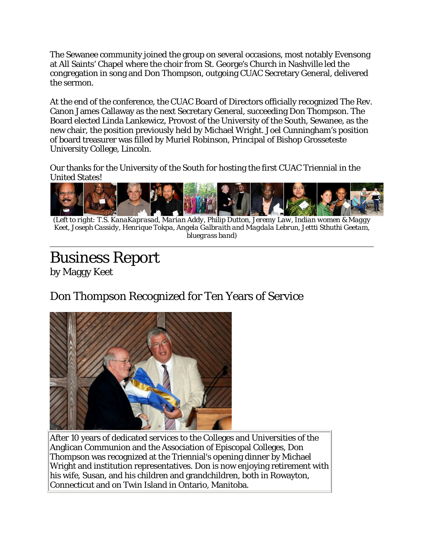The Sewanee community joined the group on several occasions, most notably Evensong at All Saints' Chapel where the choir from St. George's Church in Nashville led the congregation in song and Don Thompson, outgoing CUAC Secretary General, delivered the sermon.

At the end of the conference, the CUAC Board of Directors officially recognized The Rev. Canon James Callaway as the next Secretary General, succeeding Don Thompson. The Board elected Linda Lankewicz, Provost of the University of the South, Sewanee, as the new chair, the position previously held by Michael Wright. Joel Cunningham's position of board treasurer was filled by Muriel Robinson, Principal of Bishop Grosseteste University College, Lincoln.

Our thanks for the University of the South for hosting the first CUAC Triennial in the United States!



*(Left to right: T.S. KanaKaprasad, Marian Addy, Philip Dutton, Jeremy Law, Indian women & Maggy Keet, Joseph Cassidy, Henrique Tokpa, Angela Galbraith and Magdala Lebrun, Jettti Sthuthi Geetam, bluegrass band)*

# Business Report

by Maggy Keet

#### Don Thompson Recognized for Ten Years of Service



After 10 years of dedicated services to the Colleges and Universities of the Anglican Communion and the Association of Episcopal Colleges, Don Thompson was recognized at the Triennial's opening dinner by Michael Wright and institution representatives. Don is now enjoying retirement with his wife, Susan, and his children and grandchildren, both in Rowayton, Connecticut and on Twin Island in Ontario, Manitoba.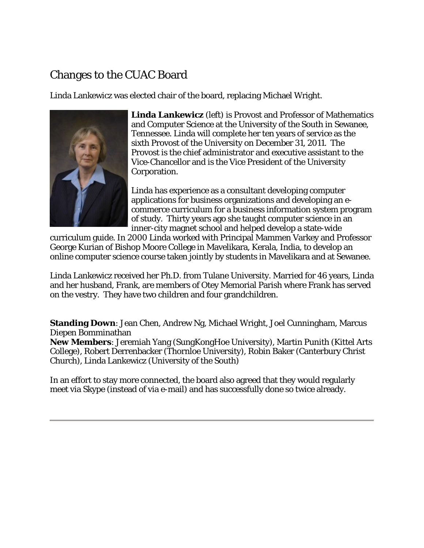#### Changes to the CUAC Board

Linda Lankewicz was elected chair of the board, replacing Michael Wright.



**Linda Lankewicz** *(left)* is Provost and Professor of Mathematics and Computer Science at the University of the South in Sewanee, Tennessee. Linda will complete her ten years of service as the sixth Provost of the University on December 31, 2011. The Provost is the chief administrator and executive assistant to the Vice-Chancellor and is the Vice President of the University Corporation.

Linda has experience as a consultant developing computer applications for business organizations and developing an ecommerce curriculum for a business information system program of study. Thirty years ago she taught computer science in an inner-city magnet school and helped develop a state-wide

curriculum guide. In 2000 Linda worked with Principal Mammen Varkey and Professor George Kurian of Bishop Moore College in Mavelikara, Kerala, India, to develop an online computer science course taken jointly by students in Mavelikara and at Sewanee.

Linda Lankewicz received her Ph.D. from Tulane University. Married for 46 years, Linda and her husband, Frank, are members of Otey Memorial Parish where Frank has served on the vestry. They have two children and four grandchildren.

**Standing Down**: Jean Chen, Andrew Ng, Michael Wright, Joel Cunningham, Marcus Diepen Bomminathan

**New Members**: Jeremiah Yang (SungKongHoe University), Martin Punith (Kittel Arts College), Robert Derrenbacker (Thornloe University), Robin Baker (Canterbury Christ Church), Linda Lankewicz (University of the South)

In an effort to stay more connected, the board also agreed that they would regularly meet via Skype (instead of via e-mail) and has successfully done so twice already.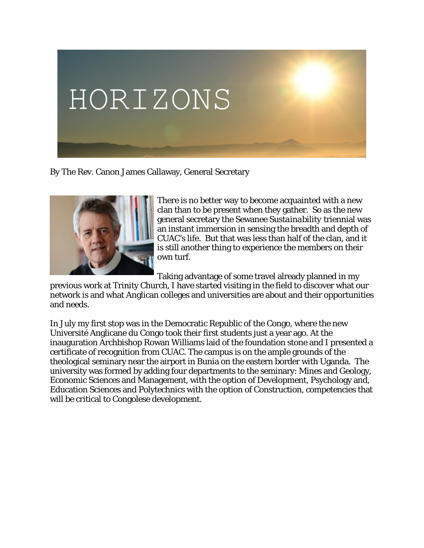

By The Rev. Canon James Callaway, General Secretary



There is no better way to become acquainted with a new clan than to be present when they gather. So as the new general secretary the Sewanee *Sustainability* triennial was an instant immersion in sensing the breadth and depth of CUAC's life. But that was less than half of the clan, and it is still another thing to experience the members on their own turf.

Taking advantage of some travel already planned in my

previous work at Trinity Church, I have started visiting in the field to discover what our network is and what Anglican colleges and universities are about and their opportunities and needs.

In July my first stop was in the Democratic Republic of the Congo, where the new Université Anglicane du Congo took their first students just a year ago. At the inauguration Archbishop Rowan Williams laid of the foundation stone and I presented a certificate of recognition from CUAC. The campus is on the ample grounds of the theological seminary near the airport in Bunia on the eastern border with Uganda. The university was formed by adding four departments to the seminary: Mines and Geology, Economic Sciences and Management, with the option of Development, Psychology and, Education Sciences and Polytechnics with the option of Construction, competencies that will be critical to Congolese development.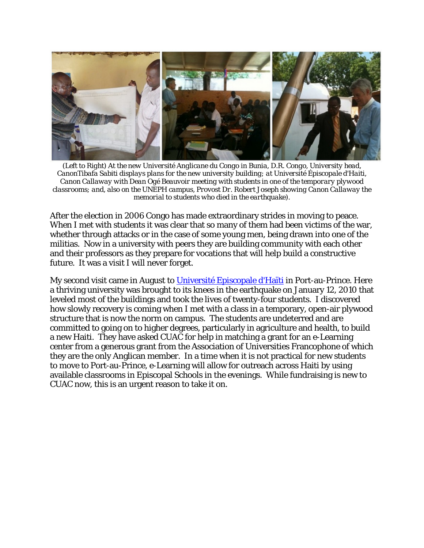

*(Left to Right) At the new Université Anglicane du Congo in Bunia, D.R. Congo, University head, CanonTibafa Sabiti displays plans for the new university building; at Université Épiscopale d'Haiti, Canon Callaway with Dean Ogé Beauvoir meeting with students in one of the temporary plywood classrooms; and, also on the UNEPH campus, Provost Dr. Robert Joseph showing Canon Callaway the memorial to students who died in the earthquake).*

After the election in 2006 Congo has made extraordinary strides in moving to peace. When I met with students it was clear that so many of them had been victims of the war, whether through attacks or in the case of some young men, being drawn into one of the militias. Now in a university with peers they are building community with each other and their professors as they prepare for vocations that will help build a constructive future. It was a visit I will never forget.

My second visit came in August to [Université Episcopale d'Haïti](http://uneph.org/) in Port-au-Prince. Here a thriving university was brought to its knees in the earthquake on January 12, 2010 that leveled most of the buildings and took the lives of twenty-four students. I discovered how slowly recovery is coming when I met with a class in a temporary, open-air plywood structure that is now the norm on campus. The students are undeterred and are committed to going on to higher degrees, particularly in agriculture and health, to build a new Haiti. They have asked CUAC for help in matching a grant for an e-Learning center from a generous grant from the Association of Universities Francophone of which they are the only Anglican member. In a time when it is not practical for new students to move to Port-au-Prince, e-Learning will allow for outreach across Haiti by using available classrooms in Episcopal Schools in the evenings. While fundraising is new to CUAC now, this is an urgent reason to take it on.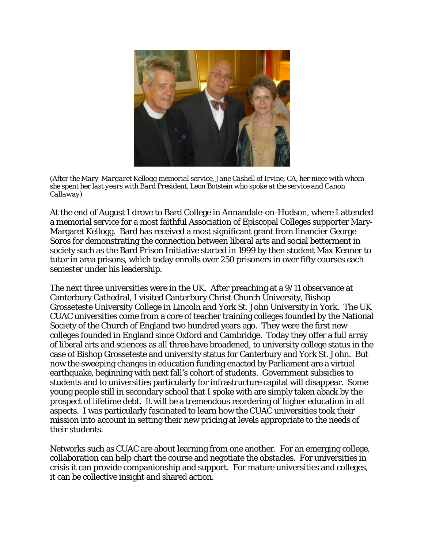

*(After the Mary-Margaret Kellogg memorial service, Jane Cashell of Irvine, CA, her niece with whom she spent her last years with Bard President, Leon Botstein who spoke at the service and Canon Callaway)*

At the end of August I drove to Bard College in Annandale-on-Hudson, where I attended a memorial service for a most faithful Association of Episcopal Colleges supporter Mary-Margaret Kellogg. Bard has received a most significant grant from financier George Soros for demonstrating the connection between liberal arts and social betterment in society such as the Bard Prison Initiative started in 1999 by then student Max Kenner to tutor in area prisons, which today enrolls over 250 prisoners in over fifty courses each semester under his leadership.

The next three universities were in the UK. After preaching at a 9/11 observance at Canterbury Cathedral, I visited Canterbury Christ Church University, Bishop Grosseteste University College in Lincoln and York St. John University in York. The UK CUAC universities come from a core of teacher training colleges founded by the National Society of the Church of England two hundred years ago. They were the first new colleges founded in England since Oxford and Cambridge. Today they offer a full array of liberal arts and sciences as all three have broadened, to university college status in the case of Bishop Grosseteste and university status for Canterbury and York St. John. But now the sweeping changes in education funding enacted by Parliament are a virtual earthquake, beginning with next fall's cohort of students. Government subsidies to students and to universities particularly for infrastructure capital will disappear. Some young people still in secondary school that I spoke with are simply taken aback by the prospect of lifetime debt. It will be a tremendous reordering of higher education in all aspects. I was particularly fascinated to learn how the CUAC universities took their mission into account in setting their new pricing at levels appropriate to the needs of their students.

Networks such as CUAC are about learning from one another. For an emerging college, collaboration can help chart the course and negotiate the obstacles. For universities in crisis it can provide companionship and support. For mature universities and colleges, it can be collective insight and shared action.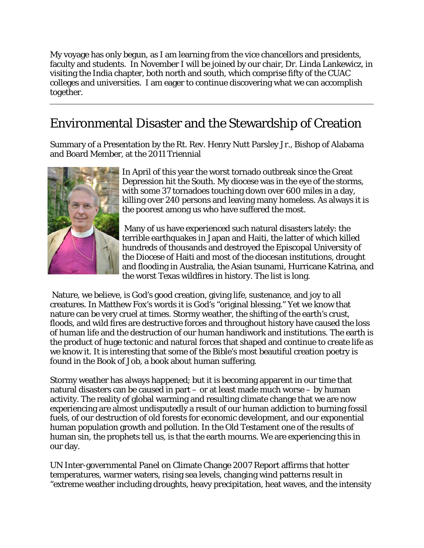My voyage has only begun, as I am learning from the vice chancellors and presidents, faculty and students. In November I will be joined by our chair, Dr. Linda Lankewicz, in visiting the India chapter, both north and south, which comprise fifty of the CUAC colleges and universities. I am eager to continue discovering what we can accomplish together.

### Environmental Disaster and the Stewardship of Creation

Summary of a Presentation by the Rt. Rev. Henry Nutt Parsley Jr., Bishop of Alabama and Board Member, at the 2011 Triennial



In April of this year the worst tornado outbreak since the Great Depression hit the South. My diocese was in the eye of the storms, with some 37 tornadoes touching down over 600 miles in a day, killing over 240 persons and leaving many homeless. As always it is the poorest among us who have suffered the most.

the worst Texas wildfires in history. The list is long. Many of us have experienced such natural disasters lately: the terrible earthquakes in Japan and Haiti, the latter of which killed hundreds of thousands and destroyed the Episcopal University of the Diocese of Haiti and most of the diocesan institutions, drought and flooding in Australia, the Asian tsunami, Hurricane Katrina, and

 Nature, we believe, is God's good creation, giving life, sustenance, and joy to all creatures. In Matthew Fox's words it is God's "original blessing." Yet we know that nature can be very cruel at times. Stormy weather, the shifting of the earth's crust, floods, and wild fires are destructive forces and throughout history have caused the loss of human life and the destruction of our human handiwork and institutions. The earth is the product of huge tectonic and natural forces that shaped and continue to create life as we know it. It is interesting that some of the Bible's most beautiful creation poetry is found in the Book of Job, a book about human suffering.

Stormy weather has always happened; but it is becoming apparent in our time that natural disasters can be caused in part – or at least made much worse – by human activity. The reality of global warming and resulting climate change that we are now experiencing are almost undisputedly a result of our human addiction to burning fossil fuels, of our destruction of old forests for economic development, and our exponential human population growth and pollution. In the Old Testament one of the results of human sin, the prophets tell us, is that the earth mourns. We are experiencing this in our day.

UN Inter-governmental Panel on Climate Change 2007 Report affirms that hotter temperatures, warmer waters, rising sea levels, changing wind patterns result in "extreme weather including droughts, heavy precipitation, heat waves, and the intensity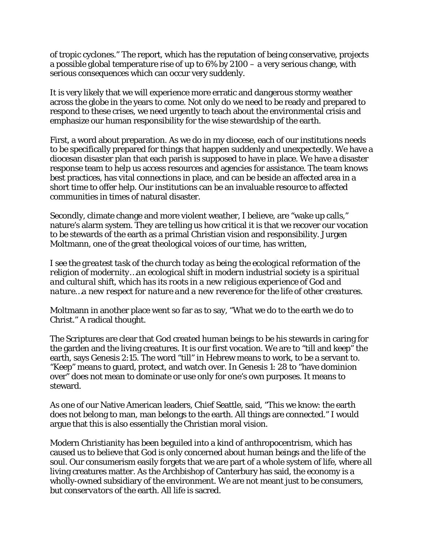of tropic cyclones." The report, which has the reputation of being conservative, projects a possible global temperature rise of up to 6% by 2100 – a very serious change, with serious consequences which can occur very suddenly.

It is very likely that we will experience more erratic and dangerous stormy weather across the globe in the years to come. Not only do we need to be ready and prepared to respond to these crises, we need urgently to teach about the environmental crisis and emphasize our human responsibility for the wise stewardship of the earth.

First, a word about preparation. As we do in my diocese, each of our institutions needs to be specifically prepared for things that happen suddenly and unexpectedly. We have a diocesan disaster plan that each parish is supposed to have in place. We have a disaster response team to help us access resources and agencies for assistance. The team knows best practices, has vital connections in place, and can be beside an affected area in a short time to offer help. Our institutions can be an invaluable resource to affected communities in times of natural disaster.

Secondly, climate change and more violent weather, I believe, are "wake up calls," nature's alarm system. They are telling us how critical it is that we recover our vocation to be stewards of the earth as a primal Christian vision and responsibility. Jurgen Moltmann, one of the great theological voices of our time, has written,

*I see the greatest task of the church today as being the ecological reformation of the religion of modernity…an ecological shift in modern industrial society is a spiritual and cultural shift, which has its roots in a new religious experience of God and nature…a new respect for nature and a new reverence for the life of other creatures.*

Moltmann in another place went so far as to say, "What we do to the earth we do to Christ." A radical thought.

The Scriptures are clear that God created human beings to be his stewards in caring for the garden and the living creatures. It is our first vocation. We are to "till and keep" the earth, says Genesis 2:15. The word "till" in Hebrew means to work, to be a servant to. "Keep" means to guard, protect, and watch over. In Genesis 1: 28 to "have dominion over" does not mean to dominate or use only for one's own purposes. It means to steward.

As one of our Native American leaders, Chief Seattle, said, "This we know: the earth does not belong to man, man belongs to the earth. All things are connected." I would argue that this is also essentially the Christian moral vision.

Modern Christianity has been beguiled into a kind of anthropocentrism, which has caused us to believe that God is only concerned about human beings and the life of the soul. Our consumerism easily forgets that we are part of a whole system of life, where all living creatures matter. As the Archbishop of Canterbury has said, the economy is a wholly-owned subsidiary of the environment. We are not meant just to be consumers, but *conservators* of the earth. All life is sacred.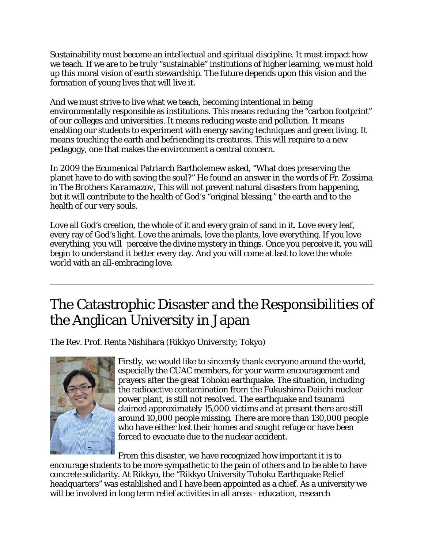Sustainability must become an intellectual and spiritual discipline. It must impact how we teach. If we are to be truly "sustainable" institutions of higher learning, we must hold up this moral vision of earth stewardship. The future depends upon this vision and the formation of young lives that will live it.

And we must strive to live what we teach, becoming intentional in being environmentally responsible as institutions. This means reducing the "carbon footprint" of our colleges and universities. It means reducing waste and pollution. It means enabling our students to experiment with energy saving techniques and green living. It means touching the earth and befriending its creatures. This will require to a new pedagogy, one that makes the environment a central concern.

In 2009 the Ecumenical Patriarch Bartholemew asked, "What does preserving the planet have to do with saving the soul?" He found an answer in the words of Fr. Zossima in *The Brothers Karamazov*, This will not prevent natural disasters from happening, but it will contribute to the health of God's "original blessing," the earth and to the health of our very souls.

Love all God's creation, the whole of it and every grain of sand in it. Love every leaf, every ray of God's light. Love the animals, love the plants, love everything. If you love everything, you will perceive the divine mystery in things. Once you perceive it, you will begin to understand it better every day. And you will come at last to love the whole world with an all-embracing love.

# The Catastrophic Disaster and the Responsibilities of the Anglican University in Japan

The Rev. Prof. Renta Nishihara (Rikkyo University; Tokyo)



Firstly, we would like to sincerely thank everyone around the world, especially the CUAC members, for your warm encouragement and prayers after the great Tohoku earthquake. The situation, including the radioactive contamination from the Fukushima Daiichi nuclear power plant, is still not resolved. The earthquake and tsunami claimed approximately 15,000 victims and at present there are still around 10,000 people missing. There are more than 130,000 people who have either lost their homes and sought refuge or have been forced to evacuate due to the nuclear accident.

From this disaster, we have recognized how important it is to encourage students to be more sympathetic to the pain of others and to be able to have concrete solidarity. At Rikkyo, the "Rikkyo University Tohoku Earthquake Relief headquarters" was established and I have been appointed as a chief. As a university we will be involved in long term relief activities in all areas - education, research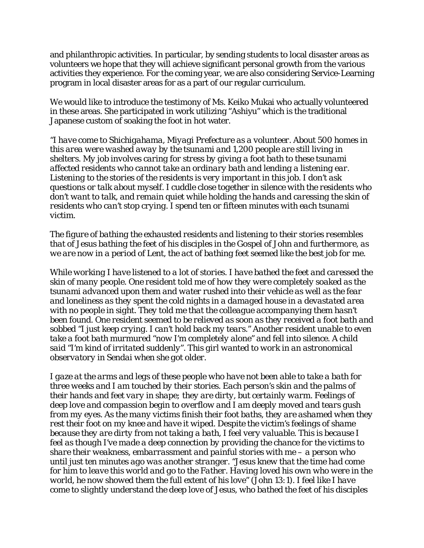and philanthropic activities. In particular, by sending students to local disaster areas as volunteers we hope that they will achieve significant personal growth from the various activities they experience. For the coming year, we are also considering Service-Learning program in local disaster areas for as a part of our regular curriculum.

We would like to introduce the testimony of Ms. Keiko Mukai who actually volunteered in these areas. She participated in work utilizing "Ashiyu" which is the traditional Japanese custom of soaking the foot in hot water.

*"I have come to Shichigahama, Miyagi Prefecture as a volunteer. About 500 homes in this area were washed away by the tsunami and 1,200 people are still living in shelters. My job involves caring for stress by giving a foot bath to these tsunami affected residents who cannot take an ordinary bath and lending a listening ear. Listening to the stories of the residents is very important in this job. I don't ask questions or talk about myself. I cuddle close together in silence with the residents who don't want to talk, and remain quiet while holding the hands and caressing the skin of residents who can't stop crying. I spend ten or fifteen minutes with each tsunami victim.* 

*The figure of bathing the exhausted residents and listening to their stories resembles that of Jesus bathing the feet of his disciples in the Gospel of John and furthermore, as we are now in a period of Lent, the act of bathing feet seemed like the best job for me.* 

*While working I have listened to a lot of stories. I have bathed the feet and caressed the skin of many people. One resident told me of how they were completely soaked as the tsunami advanced upon them and water rushed into their vehicle as well as the fear and loneliness as they spent the cold nights in a damaged house in a devastated area*  with no people in sight. They told me that the colleague accompanying them hasn't *been found. One resident seemed to be relieved as soon as they received a foot bath and sobbed "I just keep crying. I can't hold back my tears." Another resident unable to even take a foot bath murmured "now I'm completely alone" and fell into silence. A child said "I'm kind of irritated suddenly". This girl wanted to work in an astronomical observatory in Sendai when she got older.* 

*I gaze at the arms and legs of these people who have not been able to take a bath for three weeks and I am touched by their stories. Each person's skin and the palms of their hands and feet vary in shape; they are dirty, but certainly warm. Feelings of deep love and compassion begin to overflow and I am deeply moved and tears gush from my eyes. As the many victims finish their foot baths, they are ashamed when they rest their foot on my knee and have it wiped. Despite the victim's feelings of shame because they are dirty from not taking a bath, I feel very valuable. This is because I feel as though I've made a deep connection by providing the chance for the victims to share their weakness, embarrassment and painful stories with me – a person who until just ten minutes ago was another stranger. "Jesus knew that the time had come*  for him to leave this world and go to the Father. Having loved his own who were in the *world, he now showed them the full extent of his love" (John 13:1). I feel like I have come to slightly understand the deep love of Jesus, who bathed the feet of his disciples*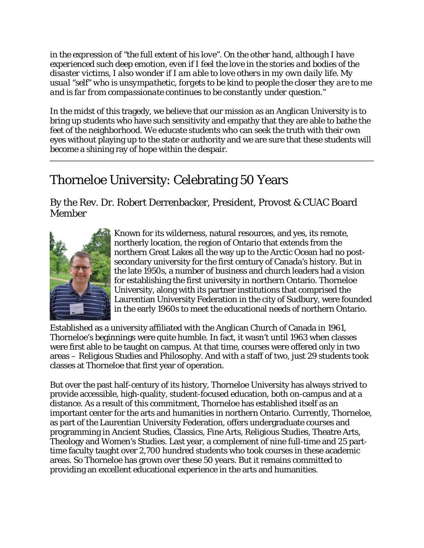*in the expression of "the full extent of his love". On the other hand, although I have experienced such deep emotion, even if I feel the love in the stories and bodies of the disaster victims, I also wonder if I am able to love others in my own daily life. My usual "self" who is unsympathetic, forgets to be kind to people the closer they are to me and is far from compassionate continues to be constantly under question."* 

In the midst of this tragedy, we believe that our mission as an Anglican University is to bring up students who have such sensitivity and empathy that they are able to bathe the feet of the neighborhood. We educate students who can seek the truth with their own eyes without playing up to the state or authority and we are sure that these students will become a shining ray of hope within the despair.

## Thorneloe University: Celebrating 50 Years

By the Rev. Dr. Robert Derrenbacker, President, Provost & CUAC Board Member



Known for its wilderness, natural resources, and yes, its remote, northerly location, the region of Ontario that extends from the northern Great Lakes all the way up to the Arctic Ocean had no postsecondary university for the first century of Canada's history. But in the late 1950s, a number of business and church leaders had a vision for establishing the first university in northern Ontario. Thorneloe University, along with its partner institutions that comprised the Laurentian University Federation in the city of Sudbury, were founded in the early 1960s to meet the educational needs of northern Ontario.

Established as a university affiliated with the Anglican Church of Canada in 1961, Thorneloe's beginnings were quite humble. In fact, it wasn't until 1963 when classes were first able to be taught on campus. At that time, courses were offered only in two areas – Religious Studies and Philosophy. And with a staff of two, just 29 students took classes at Thorneloe that first year of operation.

But over the past half-century of its history, Thorneloe University has always strived to provide accessible, high-quality, student-focused education, both on-campus and at a distance. As a result of this commitment, Thorneloe has established itself as an important center for the arts and humanities in northern Ontario. Currently, Thorneloe, as part of the Laurentian University Federation, offers undergraduate courses and programming in Ancient Studies, Classics, Fine Arts, Religious Studies, Theatre Arts, Theology and Women's Studies. Last year, a complement of nine full-time and 25 parttime faculty taught over 2,700 hundred students who took courses in these academic areas. So Thorneloe has grown over these 50 years. But it remains committed to providing an excellent educational experience in the arts and humanities.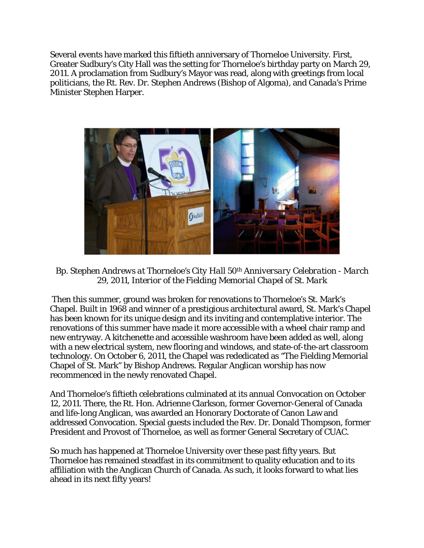Several events have marked this fiftieth anniversary of Thorneloe University. First, Greater Sudbury's City Hall was the setting for Thorneloe's birthday party on March 29, 2011. A proclamation from Sudbury's Mayor was read, along with greetings from local politicians, the Rt. Rev. Dr. Stephen Andrews (Bishop of Algoma), and Canada's Prime Minister Stephen Harper.



*Bp. Stephen Andrews at Thorneloe's City Hall 50th Anniversary Celebration - March 29, 2011, Interior of the Fielding Memorial Chapel of St. Mark*

 Then this summer, ground was broken for renovations to Thorneloe's St. Mark's Chapel. Built in 1968 and winner of a prestigious architectural award, St. Mark's Chapel has been known for its unique design and its inviting and contemplative interior. The renovations of this summer have made it more accessible with a wheel chair ramp and new entryway. A kitchenette and accessible washroom have been added as well, along with a new electrical system, new flooring and windows, and state-of-the-art classroom technology. On October 6, 2011, the Chapel was rededicated as "The Fielding Memorial Chapel of St. Mark" by Bishop Andrews. Regular Anglican worship has now recommenced in the newly renovated Chapel.

And Thorneloe's fiftieth celebrations culminated at its annual Convocation on October 12, 2011. There, the Rt. Hon. Adrienne Clarkson, former Governor-General of Canada and life-long Anglican, was awarded an Honorary Doctorate of Canon Law and addressed Convocation. Special guests included the Rev. Dr. Donald Thompson, former President and Provost of Thorneloe, as well as former General Secretary of CUAC.

So much has happened at Thorneloe University over these past fifty years. But Thorneloe has remained steadfast in its commitment to quality education and to its affiliation with the Anglican Church of Canada. As such, it looks forward to what lies ahead in its next fifty years!